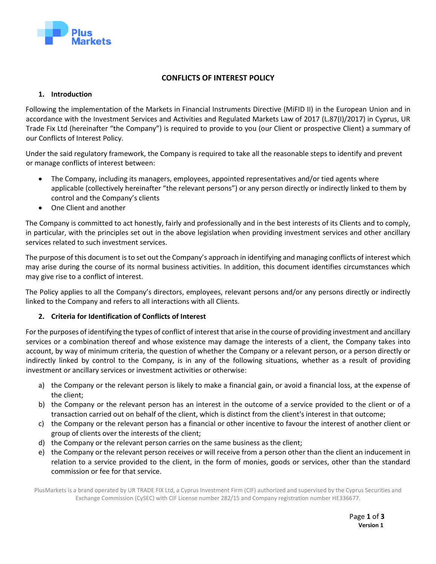

# **CONFLICTS OF INTEREST POLICY**

## **1. Introduction**

Following the implementation of the Markets in Financial Instruments Directive (MiFID II) in the European Union and in accordance with the Investment Services and Activities and Regulated Markets Law of 2017 (L.87(I)/2017) in Cyprus, UR Trade Fix Ltd (hereinafter "the Company") is required to provide to you (our Client or prospective Client) a summary of our Conflicts of Interest Policy.

Under the said regulatory framework, the Company is required to take all the reasonable steps to identify and prevent or manage conflicts of interest between:

- The Company, including its managers, employees, appointed representatives and/or tied agents where applicable (collectively hereinafter "the relevant persons") or any person directly or indirectly linked to them by control and the Company's clients
- One Client and another

The Company is committed to act honestly, fairly and professionally and in the best interests of its Clients and to comply, in particular, with the principles set out in the above legislation when providing investment services and other ancillary services related to such investment services.

The purpose of this document is to set out the Company's approach in identifying and managing conflicts of interest which may arise during the course of its normal business activities. In addition, this document identifies circumstances which may give rise to a conflict of interest.

The Policy applies to all the Company's directors, employees, relevant persons and/or any persons directly or indirectly linked to the Company and refers to all interactions with all Clients.

### **2. Criteria for Identification of Conflicts of Interest**

For the purposes of identifying the types of conflict of interest that arise in the course of providing investment and ancillary services or a combination thereof and whose existence may damage the interests of a client, the Company takes into account, by way of minimum criteria, the question of whether the Company or a relevant person, or a person directly or indirectly linked by control to the Company, is in any of the following situations, whether as a result of providing investment or ancillary services or investment activities or otherwise:

- a) the Company or the relevant person is likely to make a financial gain, or avoid a financial loss, at the expense of the client;
- b) the Company or the relevant person has an interest in the outcome of a service provided to the client or of a transaction carried out on behalf of the client, which is distinct from the client's interest in that outcome;
- c) the Company or the relevant person has a financial or other incentive to favour the interest of another client or group of clients over the interests of the client;
- d) the Company or the relevant person carries on the same business as the client;
- e) the Company or the relevant person receives or will receive from a person other than the client an inducement in relation to a service provided to the client, in the form of monies, goods or services, other than the standard commission or fee for that service.

PlusMarkets is a brand operated by UR TRADE FIX Ltd, a Cyprus Investment Firm (CIF) authorized and supervised by the Cyprus Securities and Exchange Commission (CySEC) with CIF License number 282/15 and Company registration number HE336677.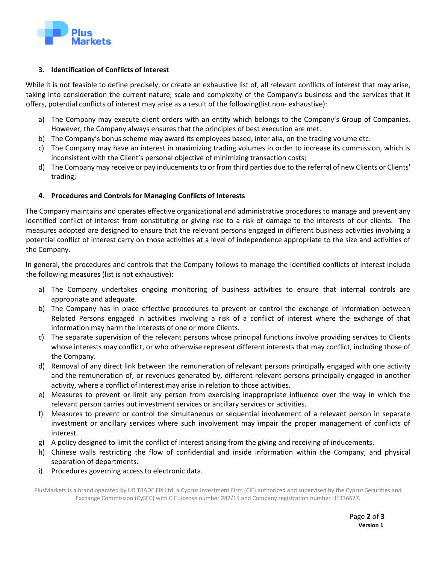

### **3. Identification of Conflicts of Interest**

While it is not feasible to define precisely, or create an exhaustive list of, all relevant conflicts of interest that may arise, taking into consideration the current nature, scale and complexity of the Company's business and the services that it offers, potential conflicts of interest may arise as a result of the following(list non- exhaustive):

- a) The Company may execute client orders with an entity which belongs to the Company's Group of Companies. However, the Company always ensures that the principles of best execution are met.
- b) The Company's bonus scheme may award its employees based, inter alia, on the trading volume etc.
- c) The Company may have an interest in maximizing trading volumes in order to increase its commission, which is inconsistent with the Client's personal objective of minimizing transaction costs;
- d) The Company may receive or pay inducements to or from third parties due to the referral of new Clients or Clients' trading;

### **4. Procedures and Controls for Managing Conflicts of Interests**

The Company maintains and operates effective organizational and administrative procedures to manage and prevent any identified conflict of interest from constituting or giving rise to a risk of damage to the interests of our clients. The measures adopted are designed to ensure that the relevant persons engaged in different business activities involving a potential conflict of interest carry on those activities at a level of independence appropriate to the size and activities of the Company.

In general, the procedures and controls that the Company follows to manage the identified conflicts of interest include the following measures (list is not exhaustive):

- a) The Company undertakes ongoing monitoring of business activities to ensure that internal controls are appropriate and adequate.
- b) The Company has in place effective procedures to prevent or control the exchange of information between Related Persons engaged in activities involving a risk of a conflict of interest where the exchange of that information may harm the interests of one or more Clients.
- c) The separate supervision of the relevant persons whose principal functions involve providing services to Clients whose interests may conflict, or who otherwise represent different interests that may conflict, including those of the Company.
- d) Removal of any direct link between the remuneration of relevant persons principally engaged with one activity and the remuneration of, or revenues generated by, different relevant persons principally engaged in another activity, where a conflict of Interest may arise in relation to those activities.
- e) Measures to prevent or limit any person from exercising inappropriate influence over the way in which the relevant person carries out investment services or ancillary services or activities.
- f) Measures to prevent or control the simultaneous or sequential involvement of a relevant person in separate investment or ancillary services where such involvement may impair the proper management of conflicts of interest.
- g) A policy designed to limit the conflict of interest arising from the giving and receiving of inducements.
- h) Chinese walls restricting the flow of confidential and inside information within the Company, and physical separation of departments.
- i) Procedures governing access to electronic data.

PlusMarkets is a brand operated by UR TRADE FIX Ltd, a Cyprus Investment Firm (CIF) authorized and supervised by the Cyprus Securities and Exchange Commission (CySEC) with CIF License number 282/15 and Company registration number HE336677.